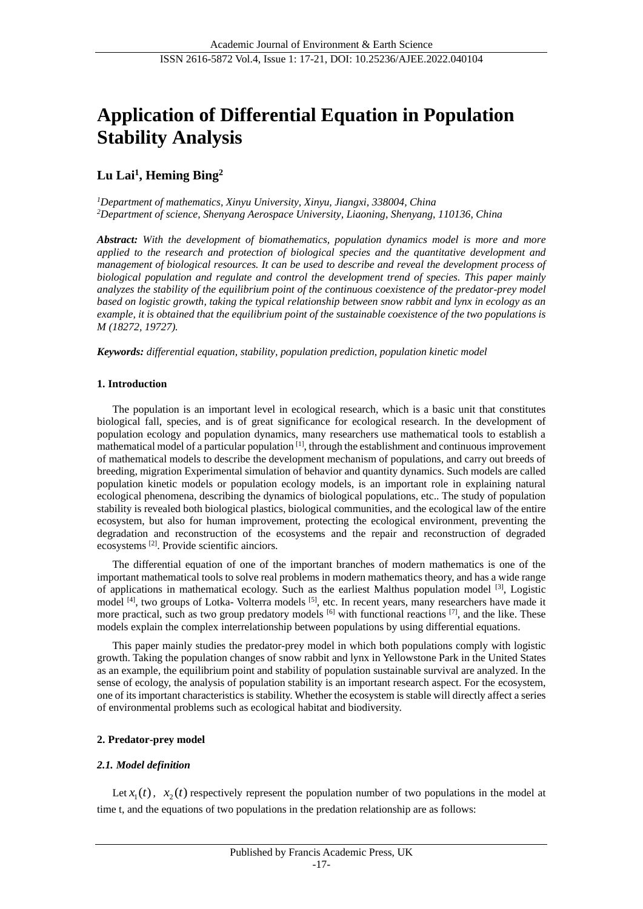# **Application of Differential Equation in Population Stability Analysis**

## **Lu Lai<sup>1</sup> , Heming Bing<sup>2</sup>**

*<sup>1</sup>Department of mathematics, Xinyu University, Xinyu, Jiangxi, 338004, China <sup>2</sup>Department of science, Shenyang Aerospace University, Liaoning, Shenyang, 110136, China*

*Abstract: With the development of biomathematics, population dynamics model is more and more applied to the research and protection of biological species and the quantitative development and management of biological resources. It can be used to describe and reveal the development process of biological population and regulate and control the development trend of species. This paper mainly analyzes the stability of the equilibrium point of the continuous coexistence of the predator-prey model based on logistic growth, taking the typical relationship between snow rabbit and lynx in ecology as an example, it is obtained that the equilibrium point of the sustainable coexistence of the two populations is M (18272, 19727).*

*Keywords: differential equation, stability, population prediction, population kinetic model*

### **1. Introduction**

The population is an important level in ecological research, which is a basic unit that constitutes biological fall, species, and is of great significance for ecological research. In the development of population ecology and population dynamics, many researchers use mathematical tools to establish a mathematical model of a particular population [1], through the establishment and continuous improvement of mathematical models to describe the development mechanism of populations, and carry out breeds of breeding, migration Experimental simulation of behavior and quantity dynamics. Such models are called population kinetic models or population ecology models, is an important role in explaining natural ecological phenomena, describing the dynamics of biological populations, etc.. The study of population stability is revealed both biological plastics, biological communities, and the ecological law of the entire ecosystem, but also for human improvement, protecting the ecological environment, preventing the degradation and reconstruction of the ecosystems and the repair and reconstruction of degraded ecosystems [2]. Provide scientific ainciors.

The differential equation of one of the important branches of modern mathematics is one of the important mathematical tools to solve real problems in modern mathematics theory, and has a wide range of applications in mathematical ecology. Such as the earliest Malthus population model <sup>[3]</sup>, Logistic model <sup>[4]</sup>, two groups of Lotka- Volterra models <sup>[5]</sup>, etc. In recent years, many researchers have made it more practical, such as two group predatory models  $^{[6]}$  with functional reactions  $^{[7]}$ , and the like. These models explain the complex interrelationship between populations by using differential equations.

This paper mainly studies the predator-prey model in which both populations comply with logistic growth. Taking the population changes of snow rabbit and lynx in Yellowstone Park in the United States as an example, the equilibrium point and stability of population sustainable survival are analyzed. In the sense of ecology, the analysis of population stability is an important research aspect. For the ecosystem, one of its important characteristics is stability. Whether the ecosystem is stable will directly affect a series of environmental problems such as ecological habitat and biodiversity.

#### **2. Predator-prey model**

## *2.1. Model definition*

Let  $x_1(t)$ ,  $x_2(t)$  respectively represent the population number of two populations in the model at time t, and the equations of two populations in the predation relationship are as follows: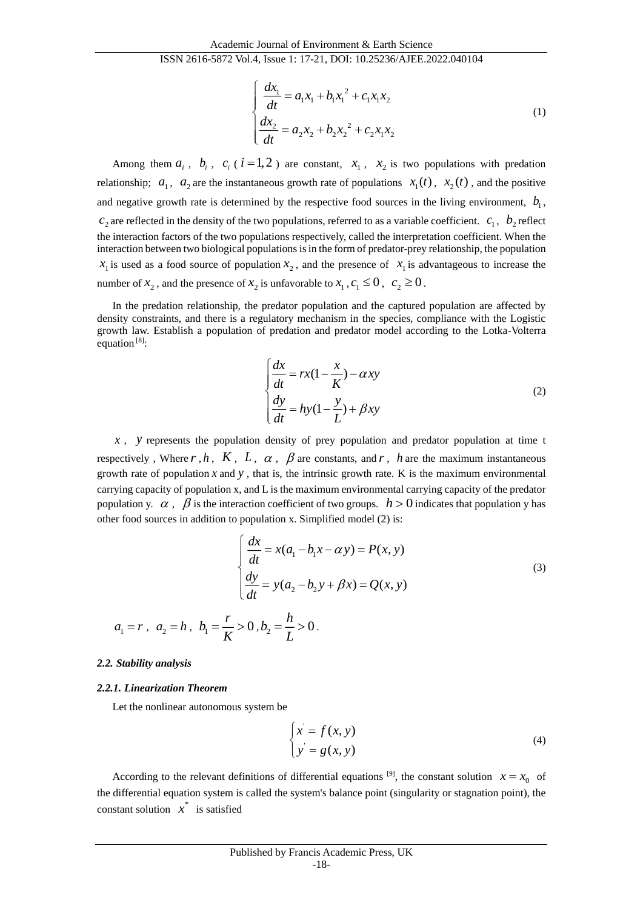$$
\begin{cases}\n\frac{dx_1}{dt} = a_1 x_1 + b_1 x_1^2 + c_1 x_1 x_2 \\
\frac{dx_2}{dt} = a_2 x_2 + b_2 x_2^2 + c_2 x_1 x_2\n\end{cases}
$$
\n(1)

Among them  $a_i$ ,  $b_i$ ,  $c_i$  ( $i=1,2$ ) are constant,  $x_1$ ,  $x_2$  is two populations with predation relationship;  $a_1$ ,  $a_2$  are the instantaneous growth rate of populations  $x_1(t)$ ,  $x_2(t)$ , and the positive and negative growth rate is determined by the respective food sources in the living environment,  $b_1$ ,  $c_2$  are reflected in the density of the two populations, referred to as a variable coefficient.  $c_1, b_2$  reflect the interaction factors of the two populations respectively, called the interpretation coefficient. When the interaction between two biological populations is in the form of predator-prey relationship, the population  $x_1$  is used as a food source of population  $x_2$ , and the presence of  $x_1$  is advantageous to increase the number of  $x_2$ , and the presence of  $x_2$  is unfavorable to  $x_1, c_1 \le 0$ ,  $c_2 \ge 0$ .

In the predation relationship, the predator population and the captured population are affected by density constraints, and there is a regulatory mechanism in the species, compliance with the Logistic growth law. Establish a population of predation and predator model according to the Lotka-Volterra equation  $[8]$ :

$$
\begin{cases}\n\frac{dx}{dt} = rx(1 - \frac{x}{K}) - \alpha xy \\
\frac{dy}{dt} = hy(1 - \frac{y}{L}) + \beta xy\n\end{cases}
$$
\n(2)

*<sup>x</sup>* , *y* represents the population density of prey population and predator population at time t respectively, Where  $r$ ,  $h$ ,  $K$ ,  $L$ ,  $\alpha$ ,  $\beta$  are constants, and  $r$ ,  $h$  are the maximum instantaneous growth rate of population  $x$  and  $y$ , that is, the intrinsic growth rate. K is the maximum environmental carrying capacity of population x, and L is the maximum environmental carrying capacity of the predator population y.  $\alpha$ ,  $\beta$  is the interaction coefficient of two groups.  $h > 0$  indicates that population y has other food sources in addition to population x. Simplified model (2) is:

$$
\begin{cases}\n\frac{dx}{dt} = x(a_1 - b_1 x - \alpha y) = P(x, y) \\
\frac{dy}{dt} = y(a_2 - b_2 y + \beta x) = Q(x, y)\n\end{cases}
$$
\n(3)\n  
\n $a_1 = r, \ a_2 = h, \ b_1 = \frac{r}{K} > 0, b_2 = \frac{h}{L} > 0.$ 

#### *2.2. Stability analysis*

#### *2.2.1. Linearization Theorem*

Let the nonlinear autonomous system be

$$
\begin{cases}\nx = f(x, y) \\
y = g(x, y)\n\end{cases}
$$
\n(4)

According to the relevant definitions of differential equations <sup>[9]</sup>, the constant solution  $x = x_0$  of the differential equation system is called the system's balance point (singularity or stagnation point), the constant solution  $x^*$  is satisfied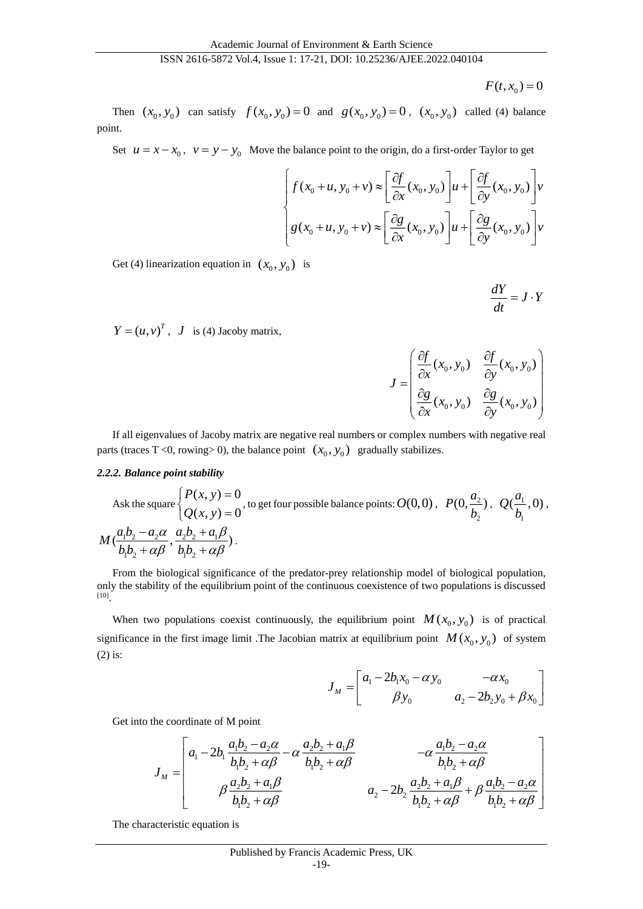$$
F(t, x_0) = 0
$$

Then  $(x_0, y_0)$  can satisfy  $f(x_0, y_0) = 0$  and  $g(x_0, y_0) = 0$ ,  $(x_0, y_0)$  called (4) balance point.

Set  $u = x - x_0$ ,  $v = y - y_0$  Move the balance point to the origin, do a first-order Taylor to get

$$
\int g(x_0 + u, y_0 + v) \approx \left[ \frac{\partial f}{\partial x}(x_0, y_0) \right] u + \left[ \frac{\partial f}{\partial y}(x_0, y_0) \right] v
$$
  

$$
g(x_0 + u, y_0 + v) \approx \left[ \frac{\partial g}{\partial x}(x_0, y_0) \right] u + \left[ \frac{\partial g}{\partial y}(x_0, y_0) \right] v
$$

Get (4) linearization equation in  $(x_0, y_0)$  is

 $\frac{dY}{dx} = J \cdot Y$  $\frac{d}{dt} = J$ .

 $Y = (u, v)^T$ , *J* is (4) Jacoby matrix,

$$
J = \begin{pmatrix} \frac{\partial f}{\partial x}(x_0, y_0) & \frac{\partial f}{\partial y}(x_0, y_0) \\ \frac{\partial g}{\partial x}(x_0, y_0) & \frac{\partial g}{\partial y}(x_0, y_0) \end{pmatrix}
$$

If all eigenvalues of Jacoby matrix are negative real numbers or complex numbers with negative real parts (traces T <0, rowing> 0), the balance point  $(x_0, y_0)$  gradually stabilizes.

## *2.2.2. Balance point stability*

Ask the square 
$$
\begin{cases} P(x, y) = 0 \\ Q(x, y) = 0 \end{cases}
$$
, to get four possible balance points:  $O(0, 0)$ ,  $P(0, \frac{a_2}{b_2})$ ,  $Q(\frac{a_1}{b_1}, 0)$ ,  

$$
M(\frac{a_1b_2 - a_2\alpha}{b_1b_2 + \alpha\beta}, \frac{a_2b_2 + a_1\beta}{b_1b_2 + \alpha\beta}).
$$

From the biological significance of the predator-prey relationship model of biological population, only the stability of the equilibrium point of the continuous coexistence of two populations is discussed [10] .

When two populations coexist continuously, the equilibrium point  $M(x_0, y_0)$  is of practical significance in the first image limit. The Jacobian matrix at equilibrium point  $M(x_0, y_0)$  of system (2) is:

$$
J_M = \begin{bmatrix} a_1 - 2b_1x_0 - \alpha y_0 & -\alpha x_0 \\ \beta y_0 & a_2 - 2b_2y_0 + \beta x_0 \end{bmatrix}
$$

Get into the coordinate of M point

$$
J_{M} = \begin{bmatrix} a_{1} - 2b_{1} \frac{a_{1}b_{2} - a_{2}\alpha}{b_{1}b_{2} + \alpha\beta} - \alpha \frac{a_{2}b_{2} + a_{1}\beta}{b_{1}b_{2} + \alpha\beta} & -\alpha \frac{a_{1}b_{2} - a_{2}\alpha}{b_{1}b_{2} + \alpha\beta} \\ \beta \frac{a_{2}b_{2} + a_{1}\beta}{b_{1}b_{2} + \alpha\beta} & a_{2} - 2b_{2} \frac{a_{2}b_{2} + a_{1}\beta}{b_{1}b_{2} + \alpha\beta} + \beta \frac{a_{1}b_{2} - a_{2}\alpha}{b_{1}b_{2} + \alpha\beta} \end{bmatrix}
$$

The characteristic equation is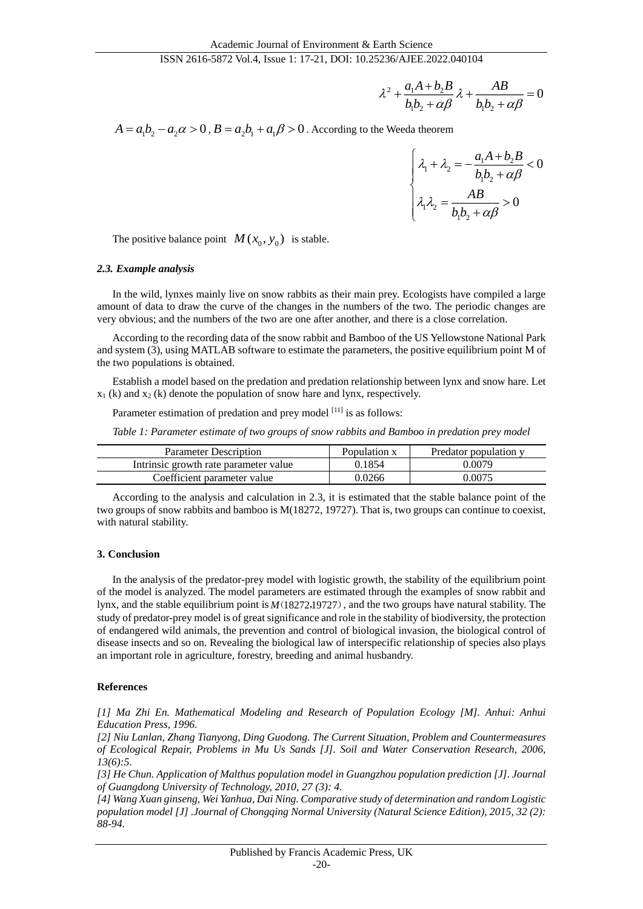$$
\lambda^2 + \frac{a_1A + b_2B}{b_1b_2 + \alpha\beta}\lambda + \frac{AB}{b_1b_2 + \alpha\beta} = 0
$$

 $A = a_1 b_2 - a_2 \alpha > 0$  ,  $B = a_2 b_1 + a_1 \beta > 0$  . According to the Weeda theorem

$$
\begin{cases} \n\lambda_1 + \lambda_2 = -\frac{a_1 A + b_2 B}{b_1 b_2 + \alpha \beta} < 0 \\ \n\lambda_1 \lambda_2 = \frac{AB}{b_1 b_2 + \alpha \beta} > 0 \n\end{cases}
$$

The positive balance point  $M(x_0, y_0)$  is stable.

#### *2.3. Example analysis*

In the wild, lynxes mainly live on snow rabbits as their main prey. Ecologists have compiled a large amount of data to draw the curve of the changes in the numbers of the two. The periodic changes are very obvious; and the numbers of the two are one after another, and there is a close correlation.

According to the recording data of the snow rabbit and Bamboo of the US Yellowstone National Park and system (3), using MATLAB software to estimate the parameters, the positive equilibrium point M of the two populations is obtained.

Establish a model based on the predation and predation relationship between lynx and snow hare. Let  $x_1$  (k) and  $x_2$  (k) denote the population of snow hare and lynx, respectively.

Parameter estimation of predation and prey model <sup>[11]</sup> is as follows:

*Table 1: Parameter estimate of two groups of snow rabbits and Bamboo in predation prey model*

| <b>Parameter Description</b>          | Population x | Predator population y |
|---------------------------------------|--------------|-----------------------|
| Intrinsic growth rate parameter value | 0.1854       | 0.0079                |
| Coefficient parameter value           | 0.0266       | 0.0075                |

According to the analysis and calculation in 2.3, it is estimated that the stable balance point of the two groups of snow rabbits and bamboo is M(18272, 19727). That is, two groups can continue to coexist, with natural stability.

#### **3. Conclusion**

In the analysis of the predator-prey model with logistic growth, the stability of the equilibrium point of the model is analyzed. The model parameters are estimated through the examples of snow rabbit and lynx, and the stable equilibrium point is  $M(18272,19727)$ , and the two groups have natural stability. The study of predator-prey model is of great significance and role in the stability of biodiversity, the protection of endangered wild animals, the prevention and control of biological invasion, the biological control of disease insects and so on. Revealing the biological law of interspecific relationship of species also plays an important role in agriculture, forestry, breeding and animal husbandry.

## **References**

*[1] Ma Zhi En. Mathematical Modeling and Research of Population Ecology [M]. Anhui: Anhui Education Press, 1996.*

*[2] Niu Lanlan, Zhang Tianyong, Ding Guodong. The Current Situation, Problem and Countermeasures of Ecological Repair, Problems in Mu Us Sands [J]. Soil and Water Conservation Research, 2006, 13(6):5.*

*[3] He Chun. Application of Malthus population model in Guangzhou population prediction [J]. Journal of Guangdong University of Technology, 2010, 27 (3): 4.*

*[4] Wang Xuan ginseng, Wei Yanhua, Dai Ning. Comparative study of determination and random Logistic population model [J] .Journal of Chongqing Normal University (Natural Science Edition), 2015, 32 (2): 88-94.*